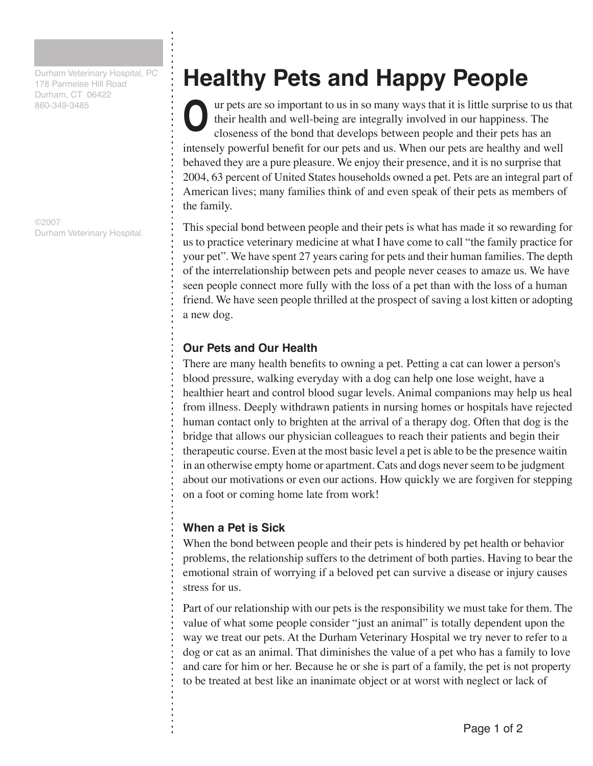Durham Veterinary Hospital, PC 178 Parmelee Hill Road Durham, CT 06422 860-349-3485

©2007 Durham Veterinary Hospital.

## **Healthy Pets and Happy People**

ur pets are so important to us in so many ways that it is little surprise to us that their health and well-being are integrally involved in our happiness. The closeness of the bond that develops between people and their pets has an intensely powerful benefit for our pets and us. When our pets are healthy and well behaved they are a pure pleasure. We enjoy their presence, and it is no surprise that 2004, 63 percent of United States households owned a pet. Pets are an integral part of American lives; many families think of and even speak of their pets as members of the family. **O**

This special bond between people and their pets is what has made it so rewarding for us to practice veterinary medicine at what I have come to call "the family practice for your pet". We have spent 27 years caring for pets and their human families. The depth of the interrelationship between pets and people never ceases to amaze us. We have seen people connect more fully with the loss of a pet than with the loss of a human friend. We have seen people thrilled at the prospect of saving a lost kitten or adopting a new dog.

## **Our Pets and Our Health**

There are many health benefits to owning a pet. Petting a cat can lower a person's blood pressure, walking everyday with a dog can help one lose weight, have a healthier heart and control blood sugar levels. Animal companions may help us heal from illness. Deeply withdrawn patients in nursing homes or hospitals have rejected human contact only to brighten at the arrival of a therapy dog. Often that dog is the bridge that allows our physician colleagues to reach their patients and begin their therapeutic course. Even at the most basic level a pet is able to be the presence waitin in an otherwise empty home or apartment. Cats and dogs never seem to be judgment about our motivations or even our actions. How quickly we are forgiven for stepping on a foot or coming home late from work!

## **When a Pet is Sick**

When the bond between people and their pets is hindered by pet health or behavior problems, the relationship suffers to the detriment of both parties. Having to bear the emotional strain of worrying if a beloved pet can survive a disease or injury causes stress for us.

Part of our relationship with our pets is the responsibility we must take for them. The value of what some people consider "just an animal" is totally dependent upon the way we treat our pets. At the Durham Veterinary Hospital we try never to refer to a dog or cat as an animal. That diminishes the value of a pet who has a family to love and care for him or her. Because he or she is part of a family, the pet is not property to be treated at best like an inanimate object or at worst with neglect or lack of